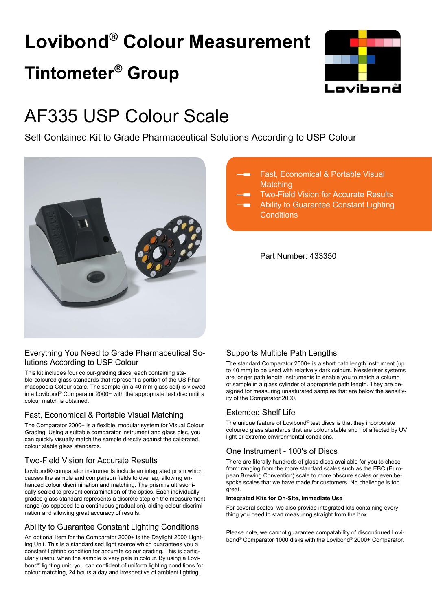# **Lovibond® Colour Measurement Tintometer® Group**



## AF335 USP Colour Scale

Self-Contained Kit to Grade Pharmaceutical Solutions According to USP Colour



## Everything You Need to Grade Pharmaceutical Solutions According to USP Colour

This kit includes four colour-grading discs, each containing stable-coloured glass standards that represent a portion of the US Pharmacopoeia Colour scale. The sample (in a 40 mm glass cell) is viewed in a Lovibond® Comparator 2000+ with the appropriate test disc until a colour match is obtained.

## Fast, Economical & Portable Visual Matching

The Comparator 2000+ is a flexible, modular system for Visual Colour Grading. Using a suitable comparator instrument and glass disc, you can quickly visually match the sample directly against the calibrated, colour stable glass standards.

## Two-Field Vision for Accurate Results

Lovibond® comparator instruments include an integrated prism which causes the sample and comparison fields to overlap, allowing enhanced colour discrimination and matching. The prism is ultrasonically sealed to prevent contamination of the optics. Each individually graded glass standard represents a discrete step on the measurement range (as opposed to a continuous graduation), aiding colour discrimination and allowing great accuracy of results.

## Ability to Guarantee Constant Lighting Conditions

An optional item for the Comparator 2000+ is the Daylight 2000 Lighting Unit. This is a standardised light source which guarantees you a constant lighting condition for accurate colour grading. This is particularly useful when the sample is very pale in colour. By using a Lovibond® lighting unit, you can confident of uniform lighting conditions for colour matching, 24 hours a day and irrespective of ambient lighting.

- Fast, Economical & Portable Visual **Matching** 
	- Two-Field Vision for Accurate Results
	- Ability to Guarantee Constant Lighting **Conditions**

Part Number: 433350

## Supports Multiple Path Lengths

The standard Comparator 2000+ is a short path length instrument (up to 40 mm) to be used with relatively dark colours. Nessleriser systems are longer path length instruments to enable you to match a column of sample in a glass cylinder of appropriate path length. They are designed for measuring unsaturated samples that are below the sensitivity of the Comparator 2000.

## Extended Shelf Life

The unique feature of Lovibond® test discs is that they incorporate coloured glass standards that are colour stable and not affected by UV light or extreme environmental conditions.

## One Instrument - 100's of Discs

There are literally hundreds of glass discs available for you to chose from: ranging from the more standard scales such as the EBC (European Brewing Convention) scale to more obscure scales or even bespoke scales that we have made for customers. No challenge is too great.

#### **Integrated Kits for On-Site, Immediate Use**

For several scales, we also provide integrated kits containing everything you need to start measuring straight from the box.

Please note, we cannot guarantee compatability of discontinued Lovibond® Comparator 1000 disks with the Lovibond® 2000+ Comparator.